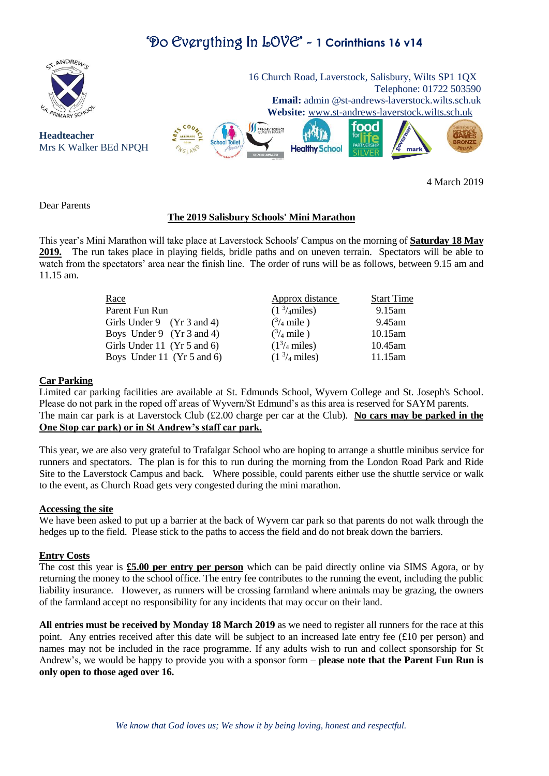# 'Do Everything In LOVE' - **1 Corinthians 16 v14**



4 March 2019

Dear Parents

# **The 2019 Salisbury Schools' Mini Marathon**

This year's Mini Marathon will take place at Laverstock Schools' Campus on the morning of **Saturday 18 May 2019.** The run takes place in playing fields, bridle paths and on uneven terrain. Spectators will be able to watch from the spectators' area near the finish line. The order of runs will be as follows, between 9.15 am and 11.15 am.

| Approx distance                       | <b>Start Time</b> |
|---------------------------------------|-------------------|
| $(1 \frac{3}{4}$ miles)               | 9.15am            |
| $\binom{3}{4}$ mile)                  | 9.45am            |
| $\binom{3}{4}$ mile)                  | $10.15$ am        |
| (1 <sup>3</sup> / <sub>4</sub> miles) | 10.45am           |
| (1 <sup>3</sup> / <sub>4</sub> miles) | 11.15am           |
|                                       |                   |

# **Car Parking**

Limited car parking facilities are available at St. Edmunds School, Wyvern College and St. Joseph's School. Please do not park in the roped off areas of Wyvern/St Edmund's as this area is reserved for SAYM parents. The main car park is at Laverstock Club  $(\text{\pounds}2.00 \text{ charge per car at the Club})$ . **No cars may be parked in the One Stop car park) or in St Andrew's staff car park.** 

This year, we are also very grateful to Trafalgar School who are hoping to arrange a shuttle minibus service for runners and spectators. The plan is for this to run during the morning from the London Road Park and Ride Site to the Laverstock Campus and back. Where possible, could parents either use the shuttle service or walk to the event, as Church Road gets very congested during the mini marathon.

### **Accessing the site**

We have been asked to put up a barrier at the back of Wyvern car park so that parents do not walk through the hedges up to the field. Please stick to the paths to access the field and do not break down the barriers.

#### **Entry Costs**

The cost this year is **£5.00 per entry per person** which can be paid directly online via SIMS Agora, or by returning the money to the school office. The entry fee contributes to the running the event, including the public liability insurance. However, as runners will be crossing farmland where animals may be grazing, the owners of the farmland accept no responsibility for any incidents that may occur on their land.

**All entries must be received by Monday 18 March 2019** as we need to register all runners for the race at this point. Any entries received after this date will be subject to an increased late entry fee (£10 per person) and names may not be included in the race programme. If any adults wish to run and collect sponsorship for St Andrew's, we would be happy to provide you with a sponsor form – **please note that the Parent Fun Run is only open to those aged over 16.**